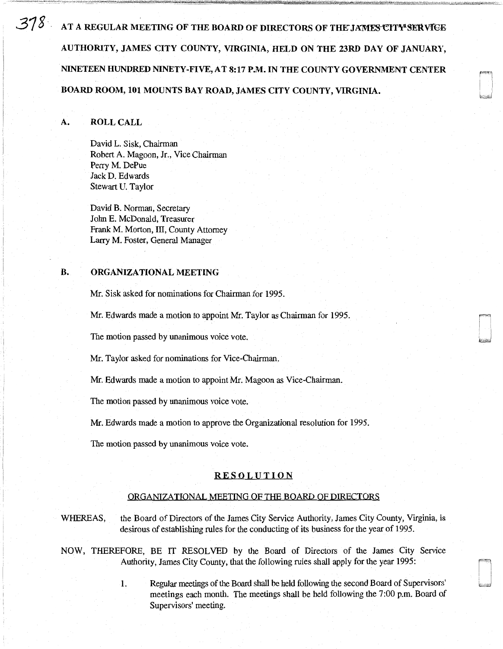$378$ . AT A REGULAR MEETING OF THE BOARD OF DIRECTORS OF THE JAMES CITY SERVICE AUTHORITY, JAMES CITY COUNTY, VIRGINIA, HELD ON THE 23RD DAY OF JANUARY, NINETEEN HUNDRED NINETY-FIVE, AT 8:17 P.M. IN THE COUNTY GOVERNMENT CENTER BOARD ROOM, 101 MOUNTS BAY ROAD, JAMES CITY COUNTY, VIRGINIA.

# A. ROLL CALL

David L. Sisk, Chairman Robert A. Magoon, Jr., Vice Chairman Perry M. DePue JackD. Edwards Stewart U. Taylor

David B. Norman, Secretary John E. McDonald, Treasurer Frank M. Morton, III, County Attorney Larry M. Foster, General Manager

## B. ORGANIZATIONAL MEETING

Mr. Sisk asked for nominations for Chairman for 1995.

Mr. Edwards made a motion to appoint Mr. Taylor as Chairman for 1995.

The motion passed by unanimous voice vote.

Mr. Taylor asked for nominations for Vice-Chairman.

Mr. Edwards made a motion to appoint Mr. Magoon as Vice-Chairman.

The motion passed by unanimous voice vote.

Mr. Edwards made a motion to approve the Organizational resolution for 1995.

The motion passed by unanimous voice vote.

## RESOLUTION

#### ORGANIZATIONAL MEETING OF THE BOARD OF DIRECTORS

WHEREAS, the Board of Directors of the James City Service Authority, James City County, Virginia, is desirous of establishing rules for the conducting of its business for the year of 1995.

NOW, THEREFORE, BE IT RESOLVED by the Board of Directors of the James City Service Authority, James City County, that the following rules shall apply for the year 1995:

> 1. Regular meetings of the Board shall be held following the second Board of Supervisors' meetings each month. The meetings shall be held following the 7 :00 p.m. Board of Supervisors' meeting.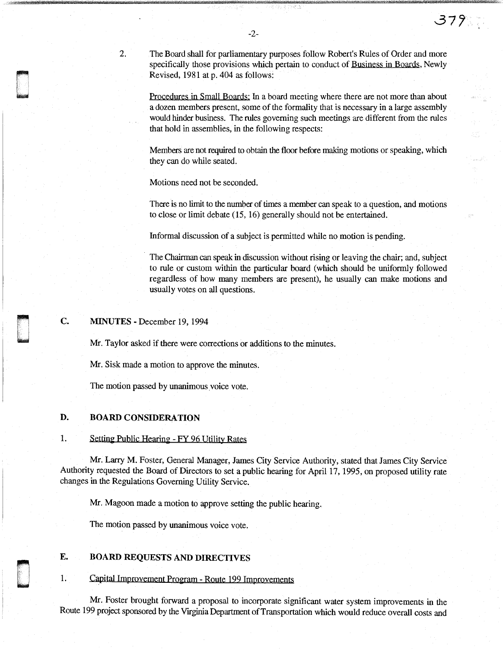The Board shall for parliamentary purposes follow Robert's Rules of Order and more specifically those provisions which pertain to conduct of Business in Boards, Newly Revised, 1981 at p. 404 as follows:

**37'/** 

Procedures in Small Boards: In a board meeting where there are not more than about a dozen members present, some of the formality that is necessary in a large assembly would hinder business. The rules governing such meetings are different from the rules that hold in assemblies, in the following respects:

Members are not required to obtain the floor before making motions or speaking, which they can do while seated.

Motions need not be seconded.

There is no limit to the number of times a member can speak to a question, and motions to close or limit debate (15, 16) generally should not be entertained.

Informal discussion of a subject is permitted while no motion is pending.

The Chairman can speak in discussion without rising or leaving the chair; and, subject to rule or custom within the particular board (which should be uniformly followed regardless of how many members are present), he usually can make motions and usually votes on all questions.

c. **MINUTES** - December 19, 1994

r'-·n

2.

ri r I L , un libre de la partie de la partie de la partie de la partie de la partie de la partie de la partie de<br>Libre de la partie de la partie de la partie de la partie de la partie de la partie de la partie de la partie

d 'n begin die gewone gewone gewone gewone gewone gewone gewone gewone gewone gewone gewone gewone gewone gewo<br>Die gewone gewone gewone gewone gewone gewone gewone gewone gewone gewone gewone gewone gewone gewone gewone g

n u<br>u Mr. Taylor asked if there were corrections or additions to the minutes.

Mr. Sisk made a motion to approve the minutes.

The motion passed by unanimous voice vote.

### **D. BOARD CONSIDERATION**

## 1. Setting Public Hearing - FY 96 Utility Rates

Mr. Larry M. Foster, General Manager, James City Service Authority, stated that James City Service Authority requested the Board of Directors to set a public hearing for April 17, 1995, on proposed utility rate changes in the Regulations Governing Utility Service.

Mr. Magoon made a motion to approve setting the public hearing.

The motion passed by unanimous voice vote.

## **E. BOARD REQUESTS AND DIRECTIVES**

1. Capital Improyement Program - Route 199 Improvements

Mr. Foster brought forward a proposal to incorporate significant water system improvements in the Route 199 project sponsored by the Virginia Department of Transportation which would reduce overall costs and